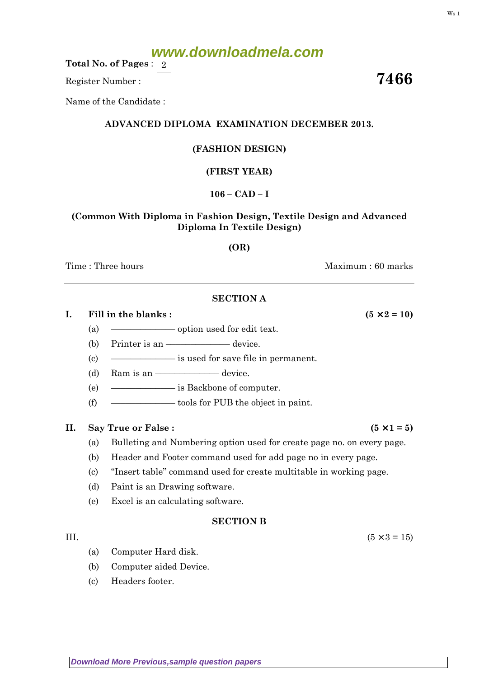# **www.downloadmela.com**

Total No. of Pages :  $\mid 2 \rangle$ 

Register Number : The Secretary of the Secretary of the Secretary of the Secretary of the Secretary of the Secretary of the Secretary of the Secretary of the Secretary of the Secretary of the Secretary of the Secretary of

Name of the Candidate :

# ADVANCED DIPLOMA EXAMINATION DECEMBER 2013.

# (FASHION DESIGN)

# (FIRST YEAR)

## 106 – CAD – I

### (Common With Diploma in Fashion Design, Textile Design and Advanced Diploma In Textile Design)

### (OR)

Time : Three hours and the set of the set of the Maximum : 60 marks

### SECTION A

I. Fill in the blanks :  $(5 \times 2 = 10)$ 

- (a) ––––––––––––– option used for edit text.
- (b) Printer is an  $\equiv$ —––––––––––device.
- (c) ––––––––––––– is used for save file in permanent.
- (d) Ram is an  $\frac{\qquad \qquad }{\qquad \qquad }$  device.
- (e) ––––––––––––– is Backbone of computer.
- (f)  $\qquad \qquad$  tools for PUB the object in paint.

### II. Say True or False :  $(5 \times 1 = 5)$

- (a) Bulleting and Numbering option used for create page no. on every page.
- (b) Header and Footer command used for add page no in every page.
- (c) ''Insert table'' command used for create multitable in working page.
- (d) Paint is an Drawing software.
- (e) Excel is an calculating software.

### SECTION B

- III.  $(5 \times 3 = 15)$ 
	- (a) Computer Hard disk.
	- (b) Computer aided Device.
	- (c) Headers footer.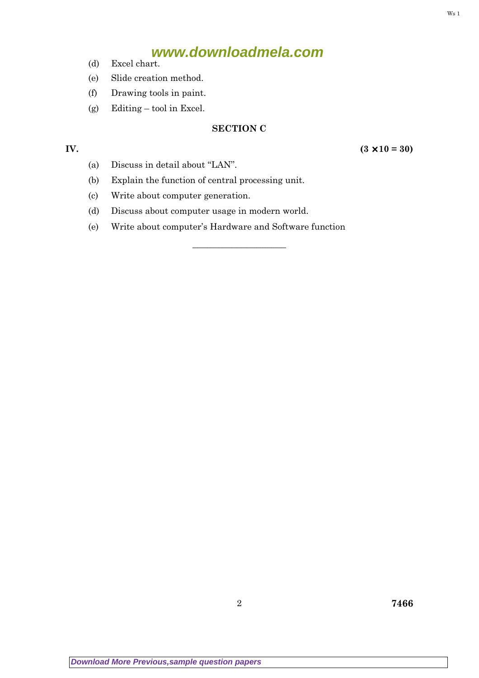# **www.downloadmela.com**

- (d) Excel chart.
- (e) Slide creation method.
- (f) Drawing tools in paint.
- (g) Editing tool in Excel.

# SECTION C

–––––––––––––––––––

IV.  $(3 \times 10 = 30)$ 

- (a) Discuss in detail about ''LAN''.
- (b) Explain the function of central processing unit.
- (c) Write about computer generation.
- (d) Discuss about computer usage in modern world.
- (e) Write about computer's Hardware and Software function